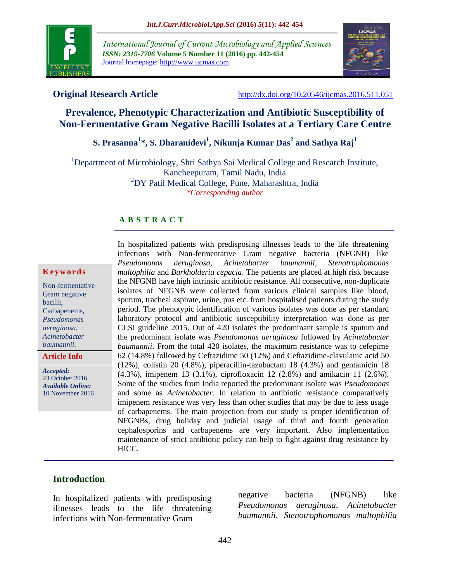

*International Journal of Current Microbiology and Applied Sciences ISSN: 2319-7706* **Volume 5 Number 11 (2016) pp. 442-454** Journal homepage: http://www.ijcmas.com



**Original Research Article** <http://dx.doi.org/10.20546/ijcmas.2016.511.051>

# **Prevalence, Phenotypic Characterization and Antibiotic Susceptibility of Non-Fermentative Gram Negative Bacilli Isolates at a Tertiary Care Centre**

# **S. Prasanna<sup>1</sup> \*, S. Dharanidevi<sup>1</sup> , Nikunja Kumar Das<sup>2</sup> and Sathya Raj<sup>1</sup>**

<sup>1</sup>Department of Microbiology, Shri Sathya Sai Medical College and Research Institute, Kancheepuram, Tamil Nadu, India <sup>2</sup>DY Patil Medical College, Pune, Maharashtra, India *\*Corresponding author*

### **A B S T R A C T**

#### **K e y w o r d s**

Non-fermentative Gram negative bacilli, Carbapenems, *Pseudomonas aeruginosa, Acinetobacter baumannii*.

**Article Info**

*Accepted:*  23 October 2016 *Available Online:* 10 November 2016 In hospitalized patients with predisposing illnesses leads to the life threatening infections with Non-fermentative Gram negative bacteria (NFGNB) like *Pseudomonas aeruginosa, Acinetobacter baumannii, Stenotrophomonas maltophilia* and *Burkholderia cepacia*. The patients are placed at high risk because the NFGNB have high intrinsic antibiotic resistance. All consecutive, non-duplicate isolates of NFGNB were collected from various clinical samples like blood, sputum, tracheal aspirate, urine, pus etc. from hospitalised patients during the study period. The phenotypic identification of various isolates was done as per standard laboratory protocol and antibiotic susceptibility interpretation was done as per CLSI guideline 2015. Out of 420 isolates the predominant sample is sputum and the predominant isolate was *Pseudomonas aeruginosa* followed by *Acinetobacter baumannii*. From the total 420 isolates, the maximum resistance was to cefepime 62 (14.8%) followed by Ceftazidime 50 (12%) and Ceftazidime-clavulanic acid 50 (12%), colistin 20 (4.8%), piperacillin-tazobactam 18 (4.3%) and gentamicin 18 (4.3%), imipenem 13 (3.1%), ciprofloxacin 12 (2.8%) and amikacin 11 (2.6%). Some of the studies from India reported the predominant isolate was *Pseudomonas* and some as *Acinetobacter*. In relation to antibiotic resistance comparatively imipenem resistance was very less than other studies that may be due to less usage of carbapenems. The main projection from our study is proper identification of NFGNBs, drug holiday and judicial usage of third and fourth generation cephalosporins and carbapenems are very important. Also implementation maintenance of strict antibiotic policy can help to fight against drug resistance by HICC.

### **Introduction**

In hospitalized patients with predisposing illnesses leads to the life threatening infections with Non-fermentative Gram

negative bacteria (NFGNB) like *Pseudomonas aeruginosa, Acinetobacter baumannii, Stenotrophomonas maltophilia*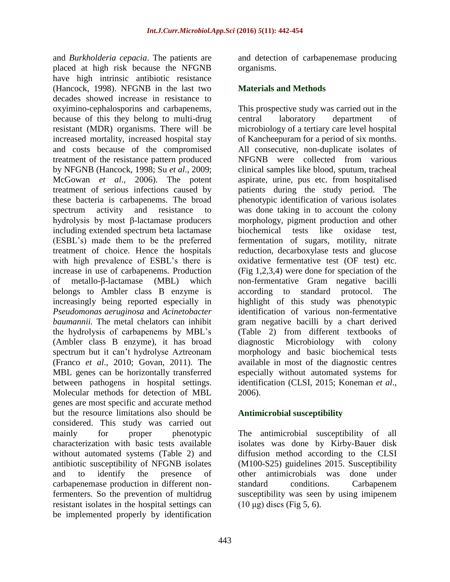and *Burkholderia cepacia*. The patients are placed at high risk because the NFGNB have high intrinsic antibiotic resistance (Hancock, 1998). NFGNB in the last two decades showed increase in resistance to oxyimino-cephalosporins and carbapenems, because of this they belong to multi-drug resistant (MDR) organisms. There will be increased mortality, increased hospital stay and costs because of the compromised treatment of the resistance pattern produced by NFGNB (Hancock, 1998; Su *et al*., 2009; McGowan *et al*., 2006). The potent treatment of serious infections caused by these bacteria is carbapenems. The broad spectrum activity and resistance to hydrolysis by most β-lactamase producers including extended spectrum beta lactamase (ESBL's) made them to be the preferred treatment of choice. Hence the hospitals with high prevalence of ESBL's there is increase in use of carbapenems. Production of metallo-β-lactamase (MBL) which belongs to Ambler class B enzyme is increasingly being reported especially in *Pseudomonas aeruginosa* and *Acinetobacter baumannii.* The metal chelators can inhibit the hydrolysis of carbapenems by MBL's (Ambler class B enzyme), it has broad spectrum but it can't hydrolyse Aztreonam (Franco *et al*., 2010; Govan, 2011). The MBL genes can be horizontally transferred between pathogens in hospital settings. Molecular methods for detection of MBL genes are most specific and accurate method but the resource limitations also should be considered. This study was carried out mainly for proper phenotypic characterization with basic tests available without automated systems (Table 2) and antibiotic susceptibility of NFGNB isolates and to identify the presence of carbapenemase production in different nonfermenters. So the prevention of multidrug resistant isolates in the hospital settings can be implemented properly by identification

and detection of carbapenemase producing organisms.

## **Materials and Methods**

This prospective study was carried out in the central laboratory department of microbiology of a tertiary care level hospital of Kancheepuram for a period of six months. All consecutive, non-duplicate isolates of NFGNB were collected from various clinical samples like blood, sputum, tracheal aspirate, urine, pus etc. from hospitalised patients during the study period. The phenotypic identification of various isolates was done taking in to account the colony morphology, pigment production and other biochemical tests like oxidase test, fermentation of sugars, motility, nitrate reduction, decarboxylase tests and glucose oxidative fermentative test (OF test) etc. (Fig 1,2,3,4) were done for speciation of the non-fermentative Gram negative bacilli according to standard protocol. The highlight of this study was phenotypic identification of various non-fermentative gram negative bacilli by a chart derived (Table 2) from different textbooks of diagnostic Microbiology with colony morphology and basic biochemical tests available in most of the diagnostic centres especially without automated systems for identification (CLSI, 2015; Koneman *et al*., 2006).

## **Antimicrobial susceptibility**

The antimicrobial susceptibility of all isolates was done by Kirby-Bauer disk diffusion method according to the CLSI (M100-S25) guidelines 2015. Susceptibility other antimicrobials was done under standard conditions. Carbapenem susceptibility was seen by using imipenem  $(10 \mu g)$  discs (Fig 5, 6).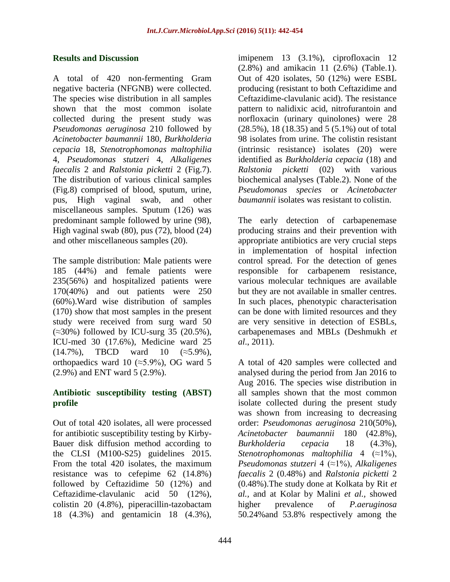### **Results and Discussion**

A total of 420 non-fermenting Gram negative bacteria (NFGNB) were collected. The species wise distribution in all samples shown that the most common isolate collected during the present study was *Pseudomonas aeruginosa* 210 followed by *Acinetobacter baumannii* 180, *Burkholderia cepacia* 18, *Stenotrophomonas maltophilia*  4, *Pseudomonas stutzeri* 4, *Alkaligenes faecalis* 2 and *Ralstonia picketti* 2 (Fig.7). The distribution of various clinical samples (Fig.8) comprised of blood, sputum, urine, pus, High vaginal swab, and other miscellaneous samples. Sputum (126) was predominant sample followed by urine (98), High vaginal swab (80), pus (72), blood (24) and other miscellaneous samples (20).

The sample distribution: Male patients were 185 (44%) and female patients were 235(56%) and hospitalized patients were 170(40%) and out patients were 250 (60%).Ward wise distribution of samples (170) show that most samples in the present study were received from surg ward 50  $(\approx 30\%)$  followed by ICU-surg 35 (20.5%), ICU-med 30 (17.6%), Medicine ward 25  $(14.7\%)$ , TBCD ward 10  $(\approx 5.9\%)$ , orthopaedics ward 10 ( $\approx$ 5.9%), OG ward 5 (2.9%) and ENT ward 5 (2.9%).

## **Antibiotic susceptibility testing (ABST) profile**

Out of total 420 isolates, all were processed for antibiotic susceptibility testing by Kirby-Bauer disk diffusion method according to the CLSI (M100-S25) guidelines 2015. From the total 420 isolates, the maximum resistance was to cefepime 62 (14.8%) followed by Ceftazidime 50 (12%) and Ceftazidime-clavulanic acid 50 (12%), colistin 20 (4.8%), piperacillin-tazobactam 18 (4.3%) and gentamicin 18 (4.3%),

imipenem 13 (3.1%), ciprofloxacin 12 (2.8%) and amikacin 11 (2.6%) (Table.1). Out of 420 isolates, 50 (12%) were ESBL producing (resistant to both Ceftazidime and Ceftazidime-clavulanic acid). The resistance pattern to nalidixic acid, nitrofurantoin and norfloxacin (urinary quinolones) were 28 (28.5%), 18 (18.35) and 5 (5.1%) out of total 98 isolates from urine. The colistin resistant (intrinsic resistance) isolates (20) were identified as *Burkholderia cepacia* (18) and *Ralstonia picketti* (02) with various biochemical analyses (Table.2). None of the *Pseudomonas species* or *Acinetobacter baumannii* isolates was resistant to colistin.

The early detection of carbapenemase producing strains and their prevention with appropriate antibiotics are very crucial steps in implementation of hospital infection control spread. For the detection of genes responsible for carbapenem resistance, various molecular techniques are available but they are not available in smaller centres. In such places, phenotypic characterisation can be done with limited resources and they are very sensitive in detection of ESBLs, carbapenemases and MBLs (Deshmukh *et al*., 2011).

A total of 420 samples were collected and analysed during the period from Jan 2016 to Aug 2016. The species wise distribution in all samples shown that the most common isolate collected during the present study was shown from increasing to decreasing order: *Pseudomonas aeruginosa* 210(50%), *Acinetobacter baumannii* 180 (42.8%), *Burkholderia cepacia* 18 (4.3%), *Stenotrophomonas maltophilia* 4 (≈1%), *Pseudomonas stutzeri* 4 (≈1%), *Alkaligenes faecalis* 2 (0.48%) and *Ralstonia picketti* 2 (0.48%).The study done at Kolkata by Rit *et al.,* and at Kolar by Malini *et al.,* showed higher prevalence of *P.aeruginosa* 50.24%and 53.8% respectively among the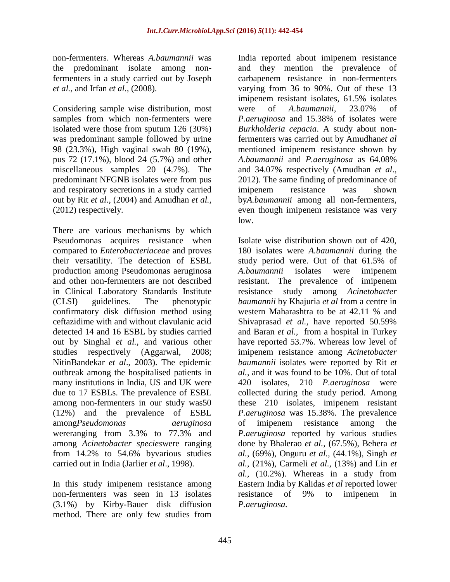non-fermenters. Whereas *A.baumannii* was the predominant isolate among nonfermenters in a study carried out by Joseph *et al.,* and Irfan *et al.,* (2008).

Considering sample wise distribution, most samples from which non-fermenters were isolated were those from sputum 126 (30%) was predominant sample followed by urine 98 (23.3%), High vaginal swab 80 (19%), pus 72 (17.1%), blood 24 (5.7%) and other miscellaneous samples 20 (4.7%). The predominant NFGNB isolates were from pus and respiratory secretions in a study carried out by Rit *et al.,* (2004) and Amudhan *et al.,* (2012) respectively.

There are various mechanisms by which Pseudomonas acquires resistance when compared to *Enterobacteriaceae* and proves their versatility. The detection of ESBL production among Pseudomonas aeruginosa and other non-fermenters are not described in Clinical Laboratory Standards Institute (CLSI) guidelines. The phenotypic confirmatory disk diffusion method using ceftazidime with and without clavulanic acid detected 14 and 16 ESBL by studies carried out by Singhal *et al.,* and various other studies respectively (Aggarwal, 2008; NitinBandekar *et al*., 2003). The epidemic outbreak among the hospitalised patients in many institutions in India, US and UK were due to 17 ESBLs. The prevalence of ESBL among non-fermenters in our study was50 (12%) and the prevalence of ESBL among*Pseudomonas aeruginosa*  wereranging from 3.3% to 77.3% and among *Acinetobacter species*were ranging from 14.2% to 54.6% byvarious studies carried out in India (Jarlier *et al*., 1998).

In this study imipenem resistance among non-fermenters was seen in 13 isolates (3.1%) by Kirby-Bauer disk diffusion method. There are only few studies from

India reported about imipenem resistance and they mention the prevalence of carbapenem resistance in non-fermenters varying from 36 to 90%. Out of these 13 imipenem resistant isolates, 61.5% isolates were of *A.baumannii,* 23.07% of *P.aeruginosa* and 15.38% of isolates were *Burkholderia cepacia*. A study about nonfermenters was carried out by Amudhan*et al* mentioned imipenem resistance shown by *A.baumannii* and *P.aeruginosa* as 64.08% and 34.07% respectively (Amudhan *et al*., 2012). The same finding of predominance of imipenem resistance was shown by*A.baumannii* among all non-fermenters, even though imipenem resistance was very low.

Isolate wise distribution shown out of 420, 180 isolates were *A.baumannii* during the study period were. Out of that 61.5% of *A.baumannii* isolates were imipenem resistant. The prevalence of imipenem resistance study among *Acinetobacter baumannii* by Khajuria *et al* from a centre in western Maharashtra to be at 42.11 % and Shivaprasad *et al.,* have reported 50.59% and Baran *et al.,* from a hospital in Turkey have reported 53.7%. Whereas low level of imipenem resistance among *Acinetobacter baumannii* isolates were reported by Rit *et al.,* and it was found to be 10%. Out of total 420 isolates, 210 *P.aeruginosa* were collected during the study period. Among these 210 isolates, imipenem resistant *P.aeruginosa* was 15.38%. The prevalence of imipenem resistance among the *P.aeruginosa* reported by various studies done by Bhalerao *et al.,* (67.5%), Behera *et al.,* (69%), Onguru *et al.,* (44.1%), Singh *et al.,* (21%), Carmeli *et al.,* (13%) and Lin *et al.,* (10.2%). Whereas in a study from Eastern India by Kalidas *et al* reported lower resistance of 9% to imipenem in *P.aeruginosa.*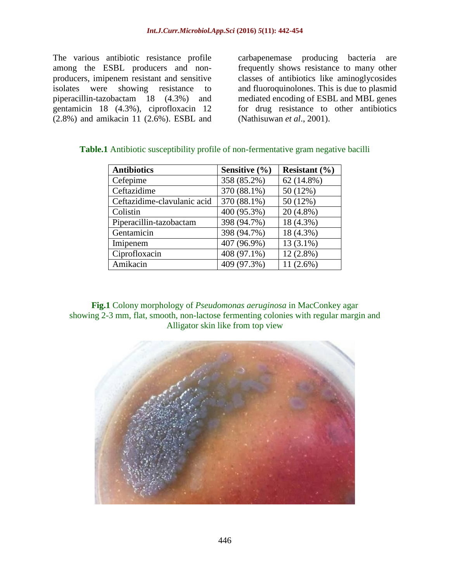The various antibiotic resistance profile among the ESBL producers and nonproducers, imipenem resistant and sensitive isolates were showing resistance to piperacillin-tazobactam 18 (4.3%) and gentamicin 18 (4.3%), ciprofloxacin 12 (2.8%) and amikacin 11 (2.6%). ESBL and

carbapenemase producing bacteria are frequently shows resistance to many other classes of antibiotics like aminoglycosides and fluoroquinolones. This is due to plasmid mediated encoding of ESBL and MBL genes for drug resistance to other antibiotics (Nathisuwan *et al*., 2001).

| <b>Antibiotics</b>          | Sensitive $(\% )$ | Resistant $(\% )$ |
|-----------------------------|-------------------|-------------------|
| Cefepime                    | 358 (85.2%)       | 62 (14.8%)        |
| Ceftazidime                 | 370 (88.1%)       | 50 (12%)          |
| Ceftazidime-clavulanic acid | 370 (88.1%)       | 50 (12%)          |
| Colistin                    | 400 (95.3%)       | $20(4.8\%)$       |
| Piperacillin-tazobactam     | 398 (94.7%)       | 18 (4.3%)         |
| Gentamicin                  | 398 (94.7%)       | 18 (4.3%)         |
| Imipenem                    | 407 (96.9%)       | $13(3.1\%)$       |
| Ciprofloxacin               | 408 (97.1%)       | $12(2.8\%)$       |
| Amikacin                    | 409 (97.3%)       | $11(2.6\%)$       |

### **Table.1** Antibiotic susceptibility profile of non-fermentative gram negative bacilli

**Fig.1** Colony morphology of *Pseudomonas aeruginosa* in MacConkey agar showing 2-3 mm, flat, smooth, non-lactose fermenting colonies with regular margin and Alligator skin like from top view

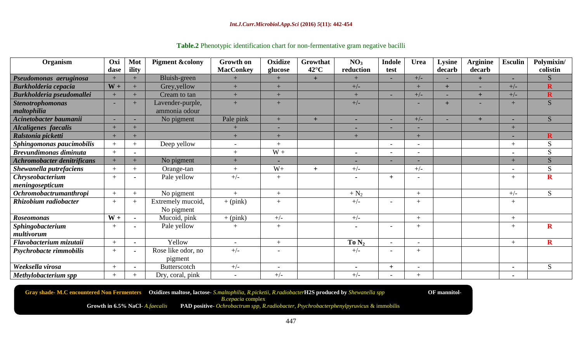#### *Int.J.Curr.Microbiol.App.Sci* **(2016)** *5***(11): 442-454**

| Organism                           | Oxi            | Mot                  | <b>Pigment &amp;colony</b> | Growth on                | Oxidize                  | Growthat       | NO <sub>3</sub> | <b>Indole</b>            | <b>Urea</b>              | Lysine                   | <b>Arginine</b> | <b>Esculin</b> | Polymixin/              |
|------------------------------------|----------------|----------------------|----------------------------|--------------------------|--------------------------|----------------|-----------------|--------------------------|--------------------------|--------------------------|-----------------|----------------|-------------------------|
|                                    | dase           | ility                |                            | <b>MacConkey</b>         | glucose                  | $42^{\circ}$ C | reduction       | test                     |                          | decarb                   | decarb          |                | colistin                |
| Pseudomonas aeruginosa             |                | $+$                  | Bluish-green               |                          | $+$                      | $+$            |                 |                          | $+/-$                    |                          | $+$             |                | S                       |
| <b>Burkholderia cepacia</b>        | $W +$          | $+$                  | Grey, yellow               | $+$                      | $+$                      |                | $+/-$           |                          | $+$                      | $+$                      | ٠               | $+/-$          | $\mathbf R$             |
| Burkholderia pseudomallei          | $+$            | $\ddot{\phantom{1}}$ | Cream to tan               | $+$                      | $+$                      |                | $+$             |                          | $+/-$                    |                          | $+$             | $+/-$          | $\mathbf R$             |
| <b>Stenotrophomonas</b>            |                | $+$                  | Lavender-purple,           | $+$                      | $+$                      |                | $+/-$           |                          | $\overline{\phantom{0}}$ | $+$                      | ۰               | $+$            | S                       |
| maltophilia                        |                |                      | ammonia odour              |                          |                          |                |                 |                          |                          |                          |                 |                |                         |
| Acinetobacter baumanii             |                |                      | No pigment                 | Pale pink                | $+$                      | $+$            | ۰               | $\sim$                   | $+/-$                    | $\overline{\phantom{a}}$ | $+$             |                | S                       |
| <b>Alcaligenes</b> faecalis        | $+$            | $+$                  |                            | $\pm$                    |                          |                |                 |                          | $\overline{\phantom{0}}$ |                          |                 | $+$            |                         |
| Ralstonia picketti                 | $+$            | $+$                  |                            | $+$                      | $+$                      |                | $+$             |                          | $+$                      |                          |                 |                | $\mathbf R$             |
| Sphingomonas paucimobilis          |                | $+$                  | Deep yellow                |                          | $+$                      |                |                 |                          | $\overline{\phantom{0}}$ |                          |                 |                | S                       |
| <b>Brevundimonas diminuta</b>      | $+$            |                      |                            | $+$                      | $W +$                    |                | $\blacksquare$  |                          | $\overline{\phantom{a}}$ |                          |                 |                | S                       |
| <b>Achromobacter denitrificans</b> | $\overline{+}$ | $+$                  | No pigment                 | $+$                      |                          |                |                 |                          | -                        |                          |                 | $+$            | S                       |
| Shewanella putrefaciens            |                | $+$                  | Orange-tan                 | $+$                      | $W+$                     | $+$            | $+/-$           |                          | $+/-$                    |                          |                 |                | S                       |
| <b>Chryseobacterium</b>            | $+$            |                      | Pale yellow                | $+/-$                    | $+$                      |                |                 | $+$                      | $\overline{\phantom{0}}$ |                          |                 | $^{+}$         | $\mathbf R$             |
| meningosepticum                    |                |                      |                            |                          |                          |                |                 |                          |                          |                          |                 |                |                         |
| Ochromobactrumanthropi             | $\overline{+}$ | $+$                  | No pigment                 | $+$                      | $+$                      |                | $+ N_2$         |                          | $+$                      |                          |                 | $+/-$          | S                       |
| Rhizobium radiobacter              | $^{+}$         | $+$                  | Extremely mucoid,          | $+$ (pink)               | $+$                      |                | $+/-$           |                          | $+$                      |                          |                 | $+$            |                         |
|                                    |                |                      | No pigment                 |                          |                          |                |                 |                          |                          |                          |                 |                |                         |
| <b>Roseomonas</b>                  | $W +$          |                      | Mucoid, pink               | $+$ (pink)               | $+/-$                    |                | $+/-$           |                          | $+$                      |                          |                 | $+$            |                         |
| Sphingobacterium                   | $+$            |                      | Pale yellow                | $+$                      | $+$                      |                |                 |                          | $+$                      |                          |                 | $^{+}$         | $\overline{\mathbf{R}}$ |
| multivorum                         |                |                      |                            |                          |                          |                |                 |                          |                          |                          |                 |                |                         |
| Flavobacterium mizutaii            | $+$            |                      | Yellow                     | $\overline{\phantom{a}}$ | $+$                      |                | To $N_2$        | $\overline{\phantom{0}}$ | $\overline{\phantom{a}}$ |                          |                 | $+$            | $\mathbf R$             |
| Psychrobacte rimmobilis            | $\overline{+}$ |                      | Rose like odor, no         | $+/-$                    | $\overline{\phantom{a}}$ |                | $+/-$           | $\overline{\phantom{a}}$ | $+$                      |                          |                 |                |                         |
|                                    |                |                      | pigment                    |                          |                          |                |                 |                          |                          |                          |                 |                |                         |
| Weeksella virosa                   | $^{+}$         | $\blacksquare$       | Butterscotch               | $+/-$                    | $\overline{\phantom{a}}$ |                | $\blacksquare$  | $+$                      | $\overline{\phantom{a}}$ |                          |                 | $\blacksquare$ | S                       |
| Methylobacterium spp               |                |                      | Dry, coral, pink           |                          | $+/-$                    |                | $+/-$           |                          | $^{+}$                   |                          |                 |                |                         |

# **Table.2** Phenotypic identification chart for non-fermentative gram negative bacilli

**Gray shade- M.C encountered Non Fermenters Oxidizes maltose, lactose**- *S.maltophilia, R.picketii*, *R.radiobacter***H2S produced by** *Shewanella spp* **OF mannitol***-B.cepacia* complex

**Growth in 6.5% NaCl**- *A.faecalis* **PAD positive**- *Ochrobactrum spp, R.radiobacter, Psychrobacterphenylpyruvicus* & immobilis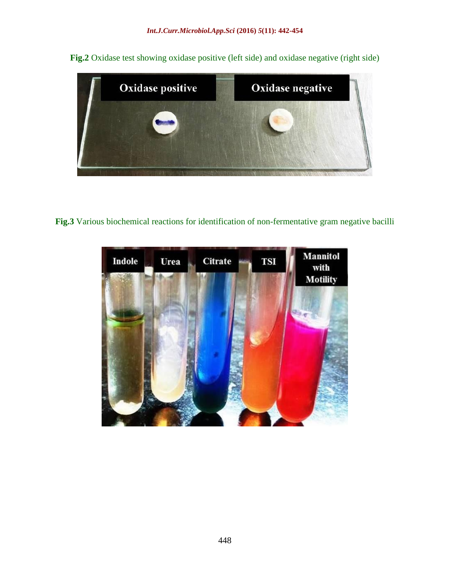**Fig.2** Oxidase test showing oxidase positive (left side) and oxidase negative (right side)



**Fig.3** Various biochemical reactions for identification of non-fermentative gram negative bacilli

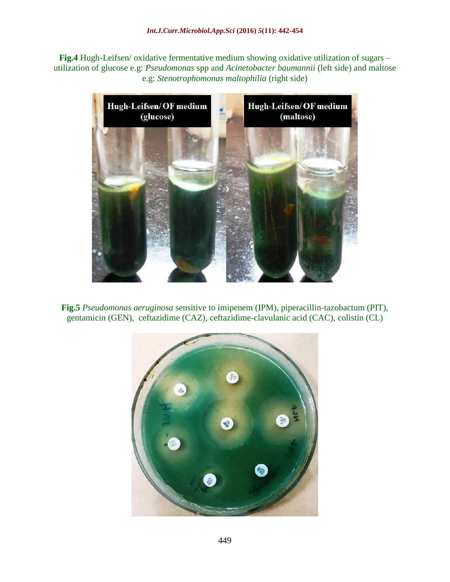**Fig.4** Hugh-Leifsen/ oxidative fermentative medium showing oxidative utilization of sugars – utilization of glucose e.g: *Pseudomonas* spp and *Acinetobacter baumannii* (left side) and maltose e.g: *Stenotrophomonas maltophilia* (right side)





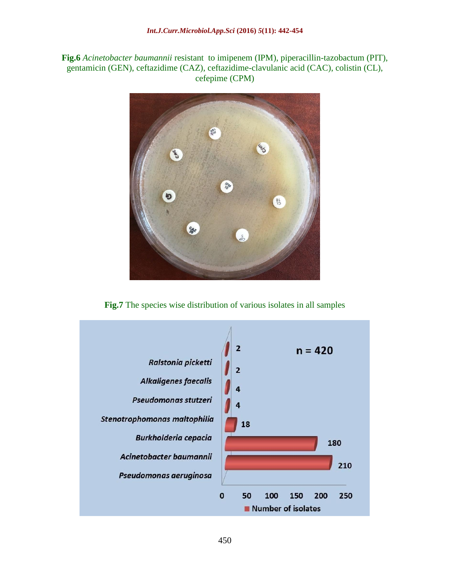**Fig.6** *Acinetobacter baumannii* resistant to imipenem (IPM), piperacillin-tazobactum (PIT), gentamicin (GEN), ceftazidime (CAZ), ceftazidime-clavulanic acid (CAC), colistin (CL), cefepime (CPM)



**Fig.7** The species wise distribution of various isolates in all samples

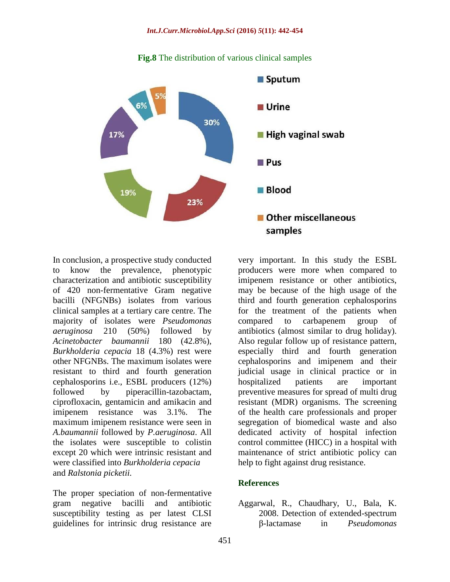

#### **Fig.8** The distribution of various clinical samples

In conclusion, a prospective study conducted to know the prevalence, phenotypic characterization and antibiotic susceptibility of 420 non-fermentative Gram negative bacilli (NFGNBs) isolates from various clinical samples at a tertiary care centre. The majority of isolates were *Pseudomonas aeruginosa* 210 (50%) followed by *Acinetobacter baumannii* 180 (42.8%), *Burkholderia cepacia* 18 (4.3%) rest were other NFGNBs. The maximum isolates were resistant to third and fourth generation cephalosporins i.e., ESBL producers (12%) followed by piperacillin-tazobactam, ciprofloxacin, gentamicin and amikacin and imipenem resistance was 3.1%. The maximum imipenem resistance were seen in *A.baumannii* followed by *P.aeruginosa*. All the isolates were susceptible to colistin except 20 which were intrinsic resistant and were classified into *Burkholderia cepacia* and *Ralstonia picketii.*

The proper speciation of non-fermentative gram negative bacilli and antibiotic susceptibility testing as per latest CLSI guidelines for intrinsic drug resistance are

very important. In this study the ESBL producers were more when compared to imipenem resistance or other antibiotics, may be because of the high usage of the third and fourth generation cephalosporins for the treatment of the patients when compared to carbapenem group of antibiotics (almost similar to drug holiday). Also regular follow up of resistance pattern, especially third and fourth generation cephalosporins and imipenem and their judicial usage in clinical practice or in hospitalized patients are important preventive measures for spread of multi drug resistant (MDR) organisms. The screening of the health care professionals and proper segregation of biomedical waste and also dedicated activity of hospital infection control committee (HICC) in a hospital with maintenance of strict antibiotic policy can help to fight against drug resistance.

#### **References**

Aggarwal, R., Chaudhary, U., Bala, K. 2008. Detection of extended-spectrum β-lactamase in *Pseudomonas*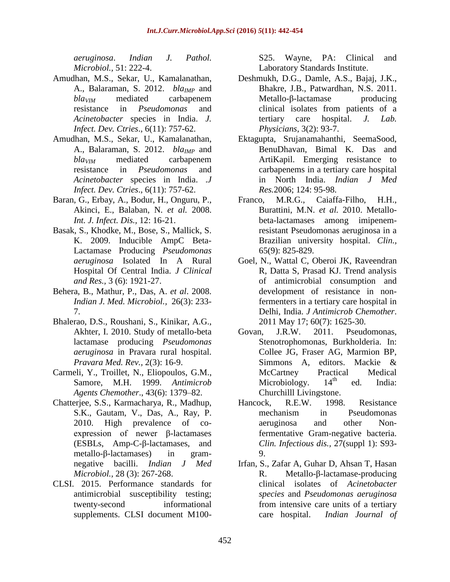*aeruginosa*. *Indian J. Pathol. Microbiol.,* 51: 222-4.

- Amudhan, M.S., Sekar, U., Kamalanathan, A., Balaraman, S. 2012. *blaIMP* and *blaVIM* mediated carbapenem resistance in *Pseudomonas* and *Acinetobacter* species in India. *J. Infect. Dev. Ctries*., 6(11): 757-62.
- Amudhan, M.S., Sekar, U., Kamalanathan, A., Balaraman, S. 2012. *blaIMP* and *blaVIM* mediated carbapenem resistance in *Pseudomonas* and *Acinetobacter* species in India. .*J Infect. Dev. Ctries*., 6(11): 757-62.
- Baran, G., Erbay, A., Bodur, H., Onguru, P., Akinci, E., Balaban, N. *et al.* 2008. *Int. J. Infect. Dis.,* 12: 16-21.
- Basak, S., Khodke, M., Bose, S., Mallick, S. K. 2009. Inducible AmpC Beta-Lactamase Producing *Pseudomonas aeruginosa* Isolated In A Rural Hospital Of Central India. *J Clinical and Res.,* 3 (6): 1921-27.
- Behera, B., Mathur, P., Das, A. *et al*. 2008. *Indian J. Med. Microbiol.,* 26(3): 233- 7.
- Bhalerao, D.S., Roushani, S., Kinikar, A.G., Akhter, I. 2010. Study of metallo-beta lactamase producing *Pseudomonas aeruginosa* in Pravara rural hospital. *Pravara Med. Rev.,* 2(3): 16-9.
- Carmeli, Y., Troillet, N., Eliopoulos, G.M., Samore, M.H. 1999. *Antimicrob Agents Chemother*., 43(6): 1379–82.
- Chatterjee, S.S., Karmacharya, R., Madhup, S.K., Gautam, V., Das, A., Ray, P. 2010. High prevalence of coexpression of newer β-lactamases (ESBLs, Amp-C-β-lactamases, and metallo-β-lactamases) in gramnegative bacilli. *Indian J Med Microbiol.,* 28 (3): 267-268.
- CLSI. 2015. Performance standards for antimicrobial susceptibility testing; twenty-second informational supplements. CLSI document M100-

S25. Wayne, PA: Clinical and Laboratory Standards Institute.

- Deshmukh, D.G., Damle, A.S., Bajaj, J.K., Bhakre, J.B., Patwardhan, N.S. 2011. Metallo-β-lactamase producing clinical isolates from patients of a tertiary care hospital. *J. Lab. Physicians,* 3(2): 93-7.
- Ektagupta, Srujanamahanthi, SeemaSood, BenuDhavan, Bimal K. Das and ArtiKapil. Emerging resistance to carbapenems in a tertiary care hospital in North India. *Indian J Med Res.*2006; 124: 95-98.
- Franco, M.R.G., Caiaffa-Filho, H.H., Burattini, M.N. *et al.* 2010. Metallobeta-lactamases among imipenemresistant Pseudomonas aeruginosa in a Brazilian university hospital. *Clin.,* 65(9): 825-829.
- Goel, N., Wattal C, Oberoi JK, Raveendran R, Datta S, Prasad KJ. Trend analysis of antimicrobial consumption and development of resistance in nonfermenters in a tertiary care hospital in Delhi, India. *J Antimicrob Chemother*. 2011 May 17; 60(7): 1625-30.
- Govan, J.R.W. 2011. Pseudomonas, Stenotrophomonas, Burkholderia. In: Collee JG, Fraser AG, Marmion BP, Simmons A, editors. Mackie & McCartney Practical Medical<br>Microbiology 14<sup>th</sup> ed India: Microbiology.  $14<sup>th</sup>$  ed. India: Churchilll Livingstone.
- Hancock, R.E.W. 1998. Resistance mechanism in Pseudomonas aeruginosa and other Nonfermentative Gram-negative bacteria. *Clin. Infectious dis.,* 27(suppl 1): S93- 9.
- Irfan, S., Zafar A, Guhar D, Ahsan T, Hasan R. Metallo-β-lactamase-producing clinical isolates of *Acinetobacter species* and *Pseudomonas aeruginosa*  from intensive care units of a tertiary care hospital. *Indian Journal of*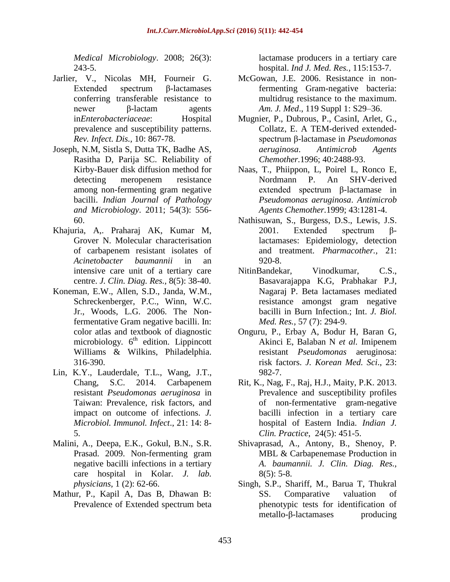*Medical Microbiology*. 2008; 26(3): 243-5.

- Jarlier, V., Nicolas MH, Fourneir G. Extended spectrum β-lactamases conferring transferable resistance to newer β-lactam agents in*Enterobacteriaceae*: Hospital prevalence and susceptibility patterns. *Rev. Infect. Dis.,* 10: 867-78.
- Joseph, N.M, Sistla S, Dutta TK, Badhe AS, Rasitha D, Parija SC. Reliability of Kirby-Bauer disk diffusion method for detecting meropenem resistance among non-fermenting gram negative bacilli. *Indian Journal of Pathology and Microbiology*. 2011; 54(3): 556- 60.
- Khajuria, A,. Praharaj AK, Kumar M, Grover N. Molecular characterisation of carbapenem resistant isolates of *Acinetobacter baumannii* in an intensive care unit of a tertiary care centre. *J. Clin. Diag. Res.,* 8(5): 38-40.
- Koneman, E.W., Allen, S.D., Janda, W.M., Schreckenberger, P.C., Winn, W.C. Jr., Woods, L.G. 2006. The Nonfermentative Gram negative bacilli. In: color atlas and textbook of diagnostic microbiology. 6<sup>th</sup> edition. Lippincott Williams & Wilkins, Philadelphia. 316-390.
- Lin, K.Y., Lauderdale, T.L., Wang, J.T., Chang, S.C. 2014. Carbapenem resistant *Pseudomonas aeruginosa* in Taiwan: Prevalence, risk factors, and impact on outcome of infections. *J. Microbiol. Immunol. Infect*., 21: 14: 8- 5.
- Malini, A., Deepa, E.K., Gokul, B.N., S.R. Prasad. 2009. Non-fermenting gram negative bacilli infections in a tertiary care hospital in Kolar. *J. lab. physicians,* 1 (2): 62-66.
- Mathur, P., Kapil A, Das B, Dhawan B: Prevalence of Extended spectrum beta

lactamase producers in a tertiary care hospital. *Ind J. Med. Res.,* 115:153-7.

- McGowan, J.E. 2006. Resistance in nonfermenting Gram-negative bacteria: multidrug resistance to the maximum. *Am. J. Med*., 119 Suppl 1: S29–36.
- Mugnier, P., Dubrous, P., CasinI, Arlet, G., Collatz, E. A TEM-derived extendedspectrum β-lactamase in *Pseudomonas aeruginosa*. *Antimicrob Agents Chemother.*1996; 40:2488-93.
- Naas, T., Phiippon, L, Poirel L, Ronco E, Nordmann P. An SHV-derived extended spectrum β-lactamase in *Pseudomonas aeruginosa*. *Antimicrob Agents Chemother.*1999; 43:1281-4.
- Nathisuwan, S., Burgess, D.S., Lewis, J.S. 2001. Extended spectrum βlactamases: Epidemiology, detection and treatment. *Pharmacother.,* 21: 920-8.
- NitinBandekar, Vinodkumar, C.S., Basavarajappa K.G, Prabhakar P.J, Nagaraj P. Beta lactamases mediated resistance amongst gram negative bacilli in Burn Infection.; Int. *J. Biol. Med. Res.,* 57 (7): 294-9.
- Onguru, P., Erbay A, Bodur H, Baran G, Akinci E, Balaban N *et al.* Imipenem resistant *Pseudomonas* aeruginosa: risk factors. *J. Korean Med. Sci*., 23: 982-7.
- Rit, K., Nag, F., Raj, H.J., Maity, P.K. 2013. Prevalence and susceptibility profiles of non-fermentative gram-negative bacilli infection in a tertiary care hospital of Eastern India. *Indian J. Clin. Practice*, 24(5): 451-5.
- Shivaprasad, A.*,* Antony, B., Shenoy, P*.* MBL & Carbapenemase Production in *A. baumannii. J. Clin. Diag. Res.,*  $8(5)$ : 5-8.
- Singh, S.P., Shariff, M., Barua T, Thukral SS. Comparative valuation of phenotypic tests for identification of metallo-β-lactamases producing